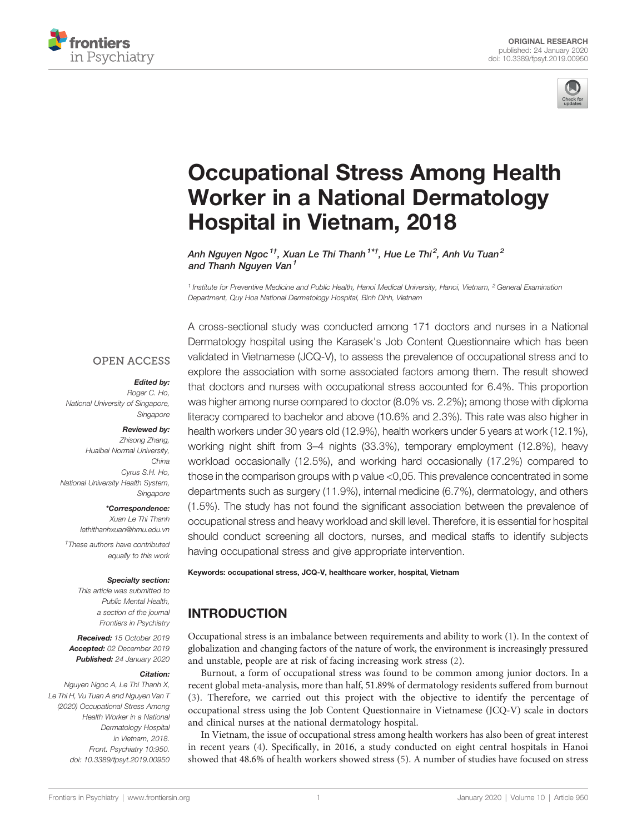



# [Occupational Stress Among Health](https://www.frontiersin.org/article/10.3389/fpsyt.2019.00950/full) [Worker in a National Dermatology](https://www.frontiersin.org/article/10.3389/fpsyt.2019.00950/full) [Hospital in Vietnam, 2018](https://www.frontiersin.org/article/10.3389/fpsyt.2019.00950/full)

[Anh](https://loop.frontiersin.org/people/830085) [Nguyen Ngoc](https://loop.frontiersin.org/people/830085) $^{\text{1}\dagger}$ , [Xuan](https://loop.frontiersin.org/people/827485) [Le Thi Thanh](https://loop.frontiersin.org/people/827485) $^{\text{1}\star\dagger}$ , Hue Le Thi $^{\text{2}}$ , Anh Vu Tuan $^{\text{2}}$ and [Thanh](https://loop.frontiersin.org/people/847375) [Nguyen Van](https://loop.frontiersin.org/people/847375)<sup>1</sup>

<sup>1</sup> Institute for Preventive Medicine and Public Health, Hanoi Medical University, Hanoi, Vietnam, <sup>2</sup> General Examination Department, Quy Hoa National Dermatology Hospital, Binh Dinh, Vietnam

#### **OPEN ACCESS**

#### Edited by:

Roger C. Ho, National University of Singapore, Singapore

#### Reviewed by:

Zhisong Zhang, Huaibei Normal University, China Cyrus S.H. Ho, National University Health System, Singapore

\*Correspondence:

Xuan Le Thi Thanh [lethithanhxuan@hmu.edu.vn](mailto:lethithanhxuan@hmu.edu.vn)

† These authors have contributed equally to this work

#### Specialty section:

This article was submitted to Public Mental Health, a section of the journal Frontiers in Psychiatry

Received: 15 October 2019 Accepted: 02 December 2019 Published: 24 January 2020

#### Citation:

Nguyen Ngoc A, Le Thi Thanh X, Le Thi H, Vu Tuan A and Nguyen Van T (2020) Occupational Stress Among Health Worker in a National Dermatology Hospital in Vietnam, 2018. Front. Psychiatry 10:950. [doi: 10.3389/fpsyt.2019.00950](https://doi.org/10.3389/fpsyt.2019.00950)

A cross-sectional study was conducted among 171 doctors and nurses in a National Dermatology hospital using the Karasek's Job Content Questionnaire which has been validated in Vietnamese (JCQ-V), to assess the prevalence of occupational stress and to explore the association with some associated factors among them. The result showed that doctors and nurses with occupational stress accounted for 6.4%. This proportion was higher among nurse compared to doctor (8.0% vs. 2.2%); among those with diploma literacy compared to bachelor and above (10.6% and 2.3%). This rate was also higher in health workers under 30 years old (12.9%), health workers under 5 years at work (12.1%), working night shift from 3–4 nights (33.3%), temporary employment (12.8%), heavy workload occasionally (12.5%), and working hard occasionally (17.2%) compared to those in the comparison groups with p value <0,05. This prevalence concentrated in some departments such as surgery (11.9%), internal medicine (6.7%), dermatology, and others (1.5%). The study has not found the significant association between the prevalence of occupational stress and heavy workload and skill level. Therefore, it is essential for hospital should conduct screening all doctors, nurses, and medical staffs to identify subjects having occupational stress and give appropriate intervention.

#### Keywords: occupational stress, JCQ-V, healthcare worker, hospital, Vietnam

# INTRODUCTION

Occupational stress is an imbalance between requirements and ability to work [\(1\)](#page-5-0). In the context of globalization and changing factors of the nature of work, the environment is increasingly pressured and unstable, people are at risk of facing increasing work stress [\(2\)](#page-5-0).

Burnout, a form of occupational stress was found to be common among junior doctors. In a recent global meta-analysis, more than half, 51.89% of dermatology residents suffered from burnout [\(3\)](#page-5-0). Therefore, we carried out this project with the objective to identify the percentage of occupational stress using the Job Content Questionnaire in Vietnamese (JCQ-V) scale in doctors and clinical nurses at the national dermatology hospital.

In Vietnam, the issue of occupational stress among health workers has also been of great interest in recent years [\(4\)](#page-5-0). Specifically, in 2016, a study conducted on eight central hospitals in Hanoi showed that 48.6% of health workers showed stress [\(5\)](#page-5-0). A number of studies have focused on stress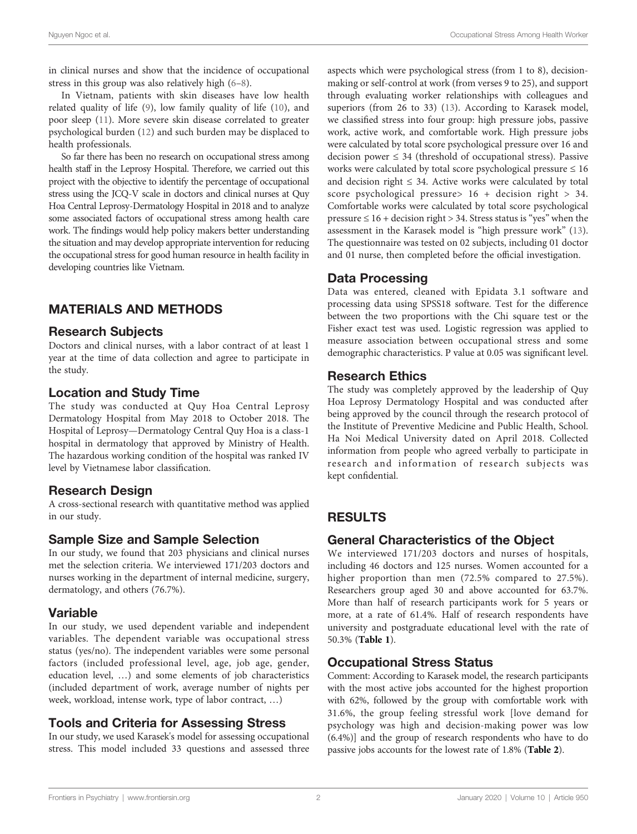in clinical nurses and show that the incidence of occupational stress in this group was also relatively high [\(6](#page-5-0)–[8](#page-5-0)).

In Vietnam, patients with skin diseases have low health related quality of life ([9](#page-5-0)), low family quality of life [\(10](#page-5-0)), and poor sleep [\(11](#page-5-0)). More severe skin disease correlated to greater psychological burden ([12](#page-5-0)) and such burden may be displaced to health professionals.

So far there has been no research on occupational stress among health staff in the Leprosy Hospital. Therefore, we carried out this project with the objective to identify the percentage of occupational stress using the JCQ-V scale in doctors and clinical nurses at Quy Hoa Central Leprosy-Dermatology Hospital in 2018 and to analyze some associated factors of occupational stress among health care work. The findings would help policy makers better understanding the situation and may develop appropriate intervention for reducing the occupational stress for good human resource in health facility in developing countries like Vietnam.

# MATERIALS AND METHODS

#### Research Subjects

Doctors and clinical nurses, with a labor contract of at least 1 year at the time of data collection and agree to participate in the study.

### Location and Study Time

The study was conducted at Quy Hoa Central Leprosy Dermatology Hospital from May 2018 to October 2018. The Hospital of Leprosy—Dermatology Central Quy Hoa is a class-1 hospital in dermatology that approved by Ministry of Health. The hazardous working condition of the hospital was ranked IV level by Vietnamese labor classification.

### Research Design

A cross-sectional research with quantitative method was applied in our study.

### Sample Size and Sample Selection

In our study, we found that 203 physicians and clinical nurses met the selection criteria. We interviewed 171/203 doctors and nurses working in the department of internal medicine, surgery, dermatology, and others (76.7%).

### Variable

In our study, we used dependent variable and independent variables. The dependent variable was occupational stress status (yes/no). The independent variables were some personal factors (included professional level, age, job age, gender, education level, …) and some elements of job characteristics (included department of work, average number of nights per week, workload, intense work, type of labor contract, …)

### Tools and Criteria for Assessing Stress

In our study, we used Karasek's model for assessing occupational stress. This model included 33 questions and assessed three

aspects which were psychological stress (from 1 to 8), decisionmaking or self-control at work (from verses 9 to 25), and support through evaluating worker relationships with colleagues and superiors (from 26 to 33) ([13\)](#page-5-0). According to Karasek model, we classified stress into four group: high pressure jobs, passive work, active work, and comfortable work. High pressure jobs were calculated by total score psychological pressure over 16 and decision power  $\leq$  34 (threshold of occupational stress). Passive works were calculated by total score psychological pressure  $\leq 16$ and decision right  $\leq$  34. Active works were calculated by total score psychological pressure  $16 + 16$  + decision right  $> 34$ . Comfortable works were calculated by total score psychological pressure  $\leq 16$  + decision right > 34. Stress status is "yes" when the assessment in the Karasek model is "high pressure work" [\(13\)](#page-5-0). The questionnaire was tested on 02 subjects, including 01 doctor and 01 nurse, then completed before the official investigation.

#### Data Processing

Data was entered, cleaned with Epidata 3.1 software and processing data using SPSS18 software. Test for the difference between the two proportions with the Chi square test or the Fisher exact test was used. Logistic regression was applied to measure association between occupational stress and some demographic characteristics. P value at 0.05 was significant level.

### Research Ethics

The study was completely approved by the leadership of Quy Hoa Leprosy Dermatology Hospital and was conducted after being approved by the council through the research protocol of the Institute of Preventive Medicine and Public Health, School. Ha Noi Medical University dated on April 2018. Collected information from people who agreed verbally to participate in research and information of research subjects was kept confidential.

# RESULTS

### General Characteristics of the Object

We interviewed 171/203 doctors and nurses of hospitals, including 46 doctors and 125 nurses. Women accounted for a higher proportion than men (72.5% compared to 27.5%). Researchers group aged 30 and above accounted for 63.7%. More than half of research participants work for 5 years or more, at a rate of 61.4%. Half of research respondents have university and postgraduate educational level with the rate of 50.3% ([Table 1](#page-2-0)).

### Occupational Stress Status

Comment: According to Karasek model, the research participants with the most active jobs accounted for the highest proportion with 62%, followed by the group with comfortable work with 31.6%, the group feeling stressful work [love demand for psychology was high and decision-making power was low (6.4%)] and the group of research respondents who have to do passive jobs accounts for the lowest rate of 1.8% ([Table 2](#page-2-0)).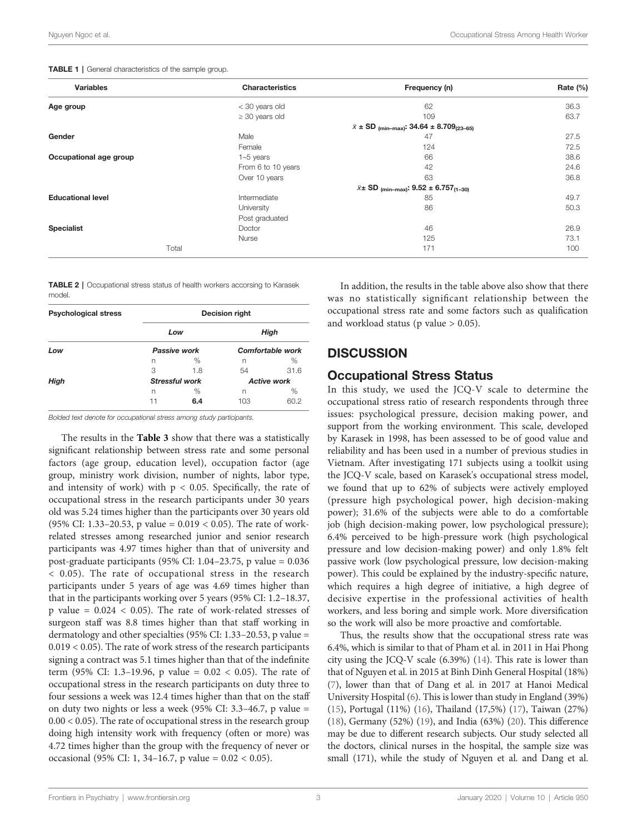| <b>Variables</b>         | <b>Characteristics</b>                                                 | Frequency (n)                                                        | Rate (%) |  |
|--------------------------|------------------------------------------------------------------------|----------------------------------------------------------------------|----------|--|
| Age group                | < 30 years old                                                         | 62                                                                   | 36.3     |  |
|                          | $\geq$ 30 years old                                                    | 109                                                                  | 63.7     |  |
|                          | $\bar{x}$ ± SD <sub>(min-max)</sub> : 34.64 ± 8.709 <sub>(23-65)</sub> |                                                                      |          |  |
| Gender                   | Male                                                                   | 47                                                                   | 27.5     |  |
|                          | Female                                                                 | 124                                                                  | 72.5     |  |
| Occupational age group   | $1-5$ years                                                            | 66                                                                   | 38.6     |  |
|                          | From 6 to 10 years                                                     | 42                                                                   | 24.6     |  |
|                          | Over 10 years                                                          | 63                                                                   | 36.8     |  |
|                          |                                                                        | $\bar{x}$ ± SD <sub>(min-max)</sub> : 9.52 ± 6.757 <sub>(1-30)</sub> |          |  |
| <b>Educational level</b> | Intermediate                                                           | 85                                                                   | 49.7     |  |
|                          | University                                                             | 86                                                                   | 50.3     |  |
|                          | Post graduated                                                         |                                                                      |          |  |
| <b>Specialist</b>        | Doctor                                                                 | 46                                                                   | 26.9     |  |

<span id="page-2-0"></span>TABLE 1 | General characteristics of the sample group.

TABLE 2 | Occupational stress status of health workers accorsing to Karasek model.

| <b>Psychological stress</b> | <b>Decision right</b> |                       |                          |                    |  |  |
|-----------------------------|-----------------------|-----------------------|--------------------------|--------------------|--|--|
|                             | Low<br>Passive work   |                       | High<br>Comfortable work |                    |  |  |
| Low                         |                       |                       |                          |                    |  |  |
|                             | n                     | %                     | n                        | $\%$               |  |  |
|                             | 3                     | 1.8                   | 54                       | 31.6               |  |  |
| High                        |                       | <b>Stressful work</b> |                          | <b>Active work</b> |  |  |
|                             | n                     | %                     | n                        | %                  |  |  |
|                             | 11                    | 6.4                   | 103                      | 60.2               |  |  |

Bolded text denote for occupational stress among study participants.

The results in the **[Table 3](#page-3-0)** show that there was a statistically significant relationship between stress rate and some personal factors (age group, education level), occupation factor (age group, ministry work division, number of nights, labor type, and intensity of work) with  $p < 0.05$ . Specifically, the rate of occupational stress in the research participants under 30 years old was 5.24 times higher than the participants over 30 years old (95% CI: 1.33–20.53, p value =  $0.019 < 0.05$ ). The rate of workrelated stresses among researched junior and senior research participants was 4.97 times higher than that of university and post-graduate participants (95% CI: 1.04–23.75, p value = 0.036 < 0.05). The rate of occupational stress in the research participants under 5 years of age was 4.69 times higher than that in the participants working over 5 years (95% CI: 1.2–18.37, p value =  $0.024 < 0.05$ ). The rate of work-related stresses of surgeon staff was 8.8 times higher than that staff working in dermatology and other specialties (95% CI: 1.33–20.53, p value =  $0.019 < 0.05$ ). The rate of work stress of the research participants signing a contract was 5.1 times higher than that of the indefinite term (95% CI: 1.3–19.96, p value = 0.02 < 0.05). The rate of occupational stress in the research participants on duty three to four sessions a week was 12.4 times higher than that on the staff on duty two nights or less a week (95% CI: 3.3–46.7, p value = 0.00 < 0.05). The rate of occupational stress in the research group doing high intensity work with frequency (often or more) was 4.72 times higher than the group with the frequency of never or occasional (95% CI: 1, 34–16.7, p value = 0.02 < 0.05).

In addition, the results in the table above also show that there was no statistically significant relationship between the occupational stress rate and some factors such as qualification and workload status ( $p$  value  $> 0.05$ ).

#### **DISCUSSION**

Total 171 100

#### Occupational Stress Status

Nurse  $125$  73.1

In this study, we used the JCQ-V scale to determine the occupational stress ratio of research respondents through three issues: psychological pressure, decision making power, and support from the working environment. This scale, developed by Karasek in 1998, has been assessed to be of good value and reliability and has been used in a number of previous studies in Vietnam. After investigating 171 subjects using a toolkit using the JCQ-V scale, based on Karasek's occupational stress model, we found that up to 62% of subjects were actively employed (pressure high psychological power, high decision-making power); 31.6% of the subjects were able to do a comfortable job (high decision-making power, low psychological pressure); 6.4% perceived to be high-pressure work (high psychological pressure and low decision-making power) and only 1.8% felt passive work (low psychological pressure, low decision-making power). This could be explained by the industry-specific nature, which requires a high degree of initiative, a high degree of decisive expertise in the professional activities of health workers, and less boring and simple work. More diversification so the work will also be more proactive and comfortable.

Thus, the results show that the occupational stress rate was 6.4%, which is similar to that of Pham et al. in 2011 in Hai Phong city using the JCQ-V scale (6.39%) ([14\)](#page-5-0). This rate is lower than that of Nguyen et al. in 2015 at Binh Dinh General Hospital (18%) [\(7\)](#page-5-0), lower than that of Dang et al. in 2017 at Hanoi Medical University Hospital ([6](#page-5-0)). This is lower than study in England (39%) [\(15](#page-5-0)), Portugal (11%) [\(16](#page-5-0)), Thailand (17,5%) [\(17](#page-5-0)), Taiwan (27%) [\(18](#page-5-0)), Germany (52%) ([19\)](#page-5-0), and India (63%) [\(20](#page-5-0)). This difference may be due to different research subjects. Our study selected all the doctors, clinical nurses in the hospital, the sample size was small (171), while the study of Nguyen et al. and Dang et al.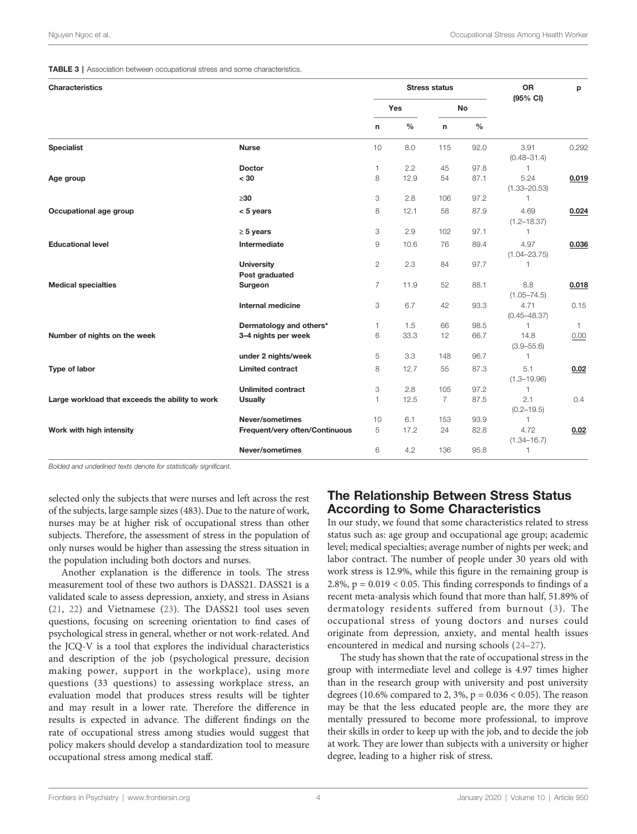#### <span id="page-3-0"></span>TABLE 3 | Association between occupational stress and some characteristics.

| <b>Characteristics</b>                          |                                     |                |      | <b>Stress status</b> |               | <b>OR</b><br>(95% CI)    | p            |
|-------------------------------------------------|-------------------------------------|----------------|------|----------------------|---------------|--------------------------|--------------|
|                                                 |                                     | <b>Yes</b>     |      | No                   |               |                          |              |
|                                                 |                                     | n              | $\%$ | n                    | $\frac{0}{0}$ |                          |              |
| <b>Specialist</b>                               | <b>Nurse</b>                        | 10             | 8.0  | 115                  | 92.0          | 3.91<br>$(0.48 - 31.4)$  | 0.292        |
|                                                 | <b>Doctor</b>                       | $\mathbf{1}$   | 2.2  | 45                   | 97.8          | 1                        |              |
| Age group                                       | < 30                                | 8              | 12.9 | 54                   | 87.1          | 5.24<br>$(1.33 - 20.53)$ | 0.019        |
|                                                 | $\geq 30$                           | 3              | 2.8  | 106                  | 97.2          | 1                        |              |
| Occupational age group                          | $< 5$ years                         | 8              | 12.1 | 58                   | 87.9          | 4.69<br>$(1.2 - 18.37)$  | 0.024        |
|                                                 | $\geq 5$ years                      | 3              | 2.9  | 102                  | 97.1          | 1                        |              |
| <b>Educational level</b>                        | Intermediate                        | 9              | 10.6 | 76                   | 89.4          | 4.97<br>$(1.04 - 23.75)$ | 0.036        |
|                                                 | <b>University</b><br>Post graduated | $\overline{2}$ | 2.3  | 84                   | 97.7          | 1                        |              |
| <b>Medical specialties</b>                      | Surgeon                             | $\overline{7}$ | 11.9 | 52                   | 88.1          | 8.8<br>$(1.05 - 74.5)$   | 0.018        |
|                                                 | <b>Internal medicine</b>            | 3              | 6.7  | 42                   | 93.3          | 4.71<br>$(0.45 - 48.37)$ | 0.15         |
|                                                 | Dermatology and others*             | 1              | 1.5  | 66                   | 98.5          | 1                        | $\mathbf{1}$ |
| Number of nights on the week                    | 3-4 nights per week                 | 6              | 33.3 | 12                   | 66.7          | 14.8<br>$(3.9 - 55.6)$   | 0.00         |
|                                                 | under 2 nights/week                 | 5              | 3.3  | 148                  | 96.7          | 1                        |              |
| Type of labor                                   | <b>Limited contract</b>             | 8              | 12.7 | 55                   | 87.3          | 5.1<br>$(1.3 - 19.96)$   | 0.02         |
|                                                 | <b>Unlimited contract</b>           | 3              | 2.8  | 105                  | 97.2          | 1                        |              |
| Large workload that exceeds the ability to work | <b>Usually</b>                      | $\mathbf{1}$   | 12.5 | $\overline{7}$       | 87.5          | 2.1<br>$(0.2 - 19.5)$    | 0.4          |
|                                                 | Never/sometimes                     | 10             | 6.1  | 153                  | 93.9          | 1                        |              |
| Work with high intensity                        | Frequent/very often/Continuous      | 5              | 17.2 | 24                   | 82.8          | 4.72<br>$(1.34 - 16.7)$  | 0.02         |
|                                                 | Never/sometimes                     | 6              | 4.2  | 136                  | 95.8          | 1                        |              |

Bolded and underlined texts denote for statistically significant.

selected only the subjects that were nurses and left across the rest of the subjects, large sample sizes (483). Due to the nature of work, nurses may be at higher risk of occupational stress than other subjects. Therefore, the assessment of stress in the population of only nurses would be higher than assessing the stress situation in the population including both doctors and nurses.

Another explanation is the difference in tools. The stress measurement tool of these two authors is DASS21. DASS21 is a validated scale to assess depression, anxiety, and stress in Asians ([21,](#page-5-0) [22\)](#page-5-0) and Vietnamese [\(23](#page-5-0)). The DASS21 tool uses seven questions, focusing on screening orientation to find cases of psychological stress in general, whether or not work-related. And the JCQ-V is a tool that explores the individual characteristics and description of the job (psychological pressure, decision making power, support in the workplace), using more questions (33 questions) to assessing workplace stress, an evaluation model that produces stress results will be tighter and may result in a lower rate. Therefore the difference in results is expected in advance. The different findings on the rate of occupational stress among studies would suggest that policy makers should develop a standardization tool to measure occupational stress among medical staff.

### The Relationship Between Stress Status According to Some Characteristics

In our study, we found that some characteristics related to stress status such as: age group and occupational age group; academic level; medical specialties; average number of nights per week; and labor contract. The number of people under 30 years old with work stress is 12.9%, while this figure in the remaining group is 2.8%,  $p = 0.019 < 0.05$ . This finding corresponds to findings of a recent meta-analysis which found that more than half, 51.89% of dermatology residents suffered from burnout ([3](#page-5-0)). The occupational stress of young doctors and nurses could originate from depression, anxiety, and mental health issues encountered in medical and nursing schools ([24](#page-5-0)–[27\)](#page-5-0).

The study has shown that the rate of occupational stress in the group with intermediate level and college is 4.97 times higher than in the research group with university and post university degrees (10.6% compared to 2, 3%,  $p = 0.036 < 0.05$ ). The reason may be that the less educated people are, the more they are mentally pressured to become more professional, to improve their skills in order to keep up with the job, and to decide the job at work. They are lower than subjects with a university or higher degree, leading to a higher risk of stress.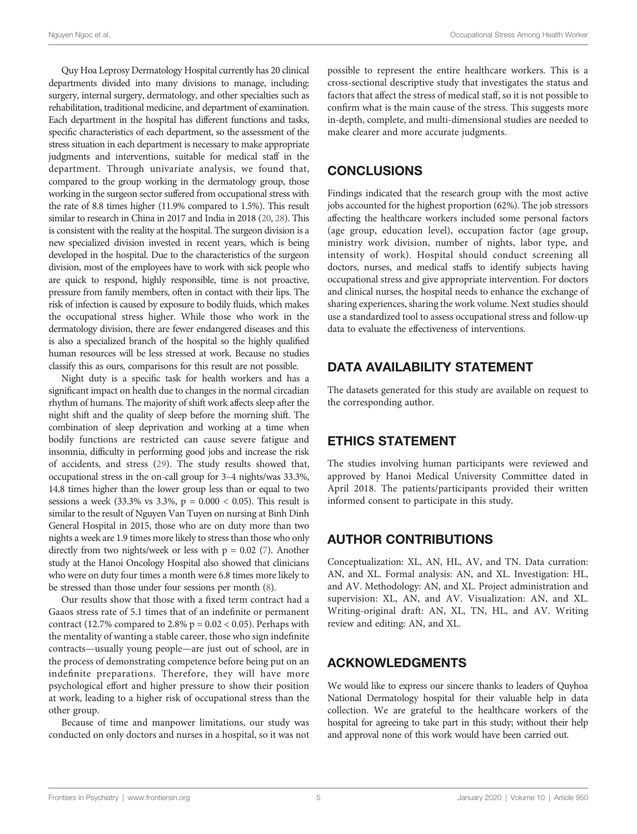Quy Hoa Leprosy Dermatology Hospital currently has 20 clinical departments divided into many divisions to manage, including: surgery, internal surgery, dermatology, and other specialties such as rehabilitation, traditional medicine, and department of examination. Each department in the hospital has different functions and tasks, specific characteristics of each department, so the assessment of the stress situation in each department is necessary to make appropriate judgments and interventions, suitable for medical staff in the department. Through univariate analysis, we found that, compared to the group working in the dermatology group, those working in the surgeon sector suffered from occupational stress with the rate of 8.8 times higher (11.9% compared to 1.5%). This result similar to research in China in 2017 and India in 2018 ([20](#page-5-0), [28\)](#page-5-0). This is consistent with the reality at the hospital. The surgeon division is a new specialized division invested in recent years, which is being developed in the hospital. Due to the characteristics of the surgeon division, most of the employees have to work with sick people who are quick to respond, highly responsible, time is not proactive, pressure from family members, often in contact with their lips. The risk of infection is caused by exposure to bodily fluids, which makes the occupational stress higher. While those who work in the dermatology division, there are fewer endangered diseases and this is also a specialized branch of the hospital so the highly qualified human resources will be less stressed at work. Because no studies classify this as ours, comparisons for this result are not possible.

Night duty is a specific task for health workers and has a significant impact on health due to changes in the normal circadian rhythm of humans. The majority of shift work affects sleep after the night shift and the quality of sleep before the morning shift. The combination of sleep deprivation and working at a time when bodily functions are restricted can cause severe fatigue and insomnia, difficulty in performing good jobs and increase the risk of accidents, and stress [\(29](#page-5-0)). The study results showed that, occupational stress in the on-call group for 3–4 nights/was 33.3%, 14.8 times higher than the lower group less than or equal to two sessions a week (33.3% vs 3.3%,  $p = 0.000 < 0.05$ ). This result is similar to the result of Nguyen Van Tuyen on nursing at Binh Dinh General Hospital in 2015, those who are on duty more than two nights a week are 1.9 times more likely to stress than those who only directly from two nights/week or less with  $p = 0.02$  ([7](#page-5-0)). Another study at the Hanoi Oncology Hospital also showed that clinicians who were on duty four times a month were 6.8 times more likely to be stressed than those under four sessions per month ([8](#page-5-0)).

Our results show that those with a fixed term contract had a Gaaos stress rate of 5.1 times that of an indefinite or permanent contract (12.7% compared to 2.8%  $p = 0.02 < 0.05$ ). Perhaps with the mentality of wanting a stable career, those who sign indefinite contracts—usually young people—are just out of school, are in the process of demonstrating competence before being put on an indefinite preparations. Therefore, they will have more psychological effort and higher pressure to show their position at work, leading to a higher risk of occupational stress than the other group.

Because of time and manpower limitations, our study was conducted on only doctors and nurses in a hospital, so it was not

possible to represent the entire healthcare workers. This is a cross-sectional descriptive study that investigates the status and factors that affect the stress of medical staff, so it is not possible to confirm what is the main cause of the stress. This suggests more in-depth, complete, and multi-dimensional studies are needed to make clearer and more accurate judgments.

# **CONCLUSIONS**

Findings indicated that the research group with the most active jobs accounted for the highest proportion (62%). The job stressors affecting the healthcare workers included some personal factors (age group, education level), occupation factor (age group, ministry work division, number of nights, labor type, and intensity of work). Hospital should conduct screening all doctors, nurses, and medical staffs to identify subjects having occupational stress and give appropriate intervention. For doctors and clinical nurses, the hospital needs to enhance the exchange of sharing experiences, sharing the work volume. Next studies should use a standardized tool to assess occupational stress and follow-up data to evaluate the effectiveness of interventions.

# DATA AVAILABILITY STATEMENT

The datasets generated for this study are available on request to the corresponding author.

# ETHICS STATEMENT

The studies involving human participants were reviewed and approved by Hanoi Medical University Committee dated in April 2018. The patients/participants provided their written informed consent to participate in this study.

# AUTHOR CONTRIBUTIONS

Conceptualization: XL, AN, HL, AV, and TN. Data curration: AN, and XL. Formal analysis: AN, and XL. Investigation: HL, and AV. Methodology: AN, and XL. Project administration and supervision: XL, AN, and AV. Visualization: AN, and XL. Writing-original draft: AN, XL, TN, HL, and AV. Writing review and editing: AN, and XL.

# ACKNOWLEDGMENTS

We would like to express our sincere thanks to leaders of Quyhoa National Dermatology hospital for their valuable help in data collection. We are grateful to the healthcare workers of the hospital for agreeing to take part in this study; without their help and approval none of this work would have been carried out.